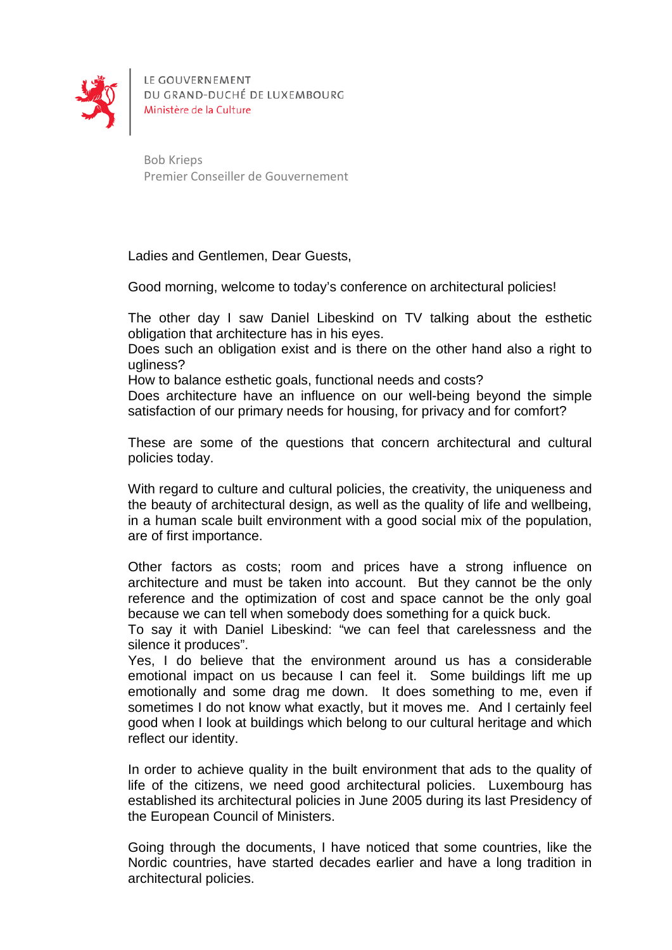

LE GOUVERNEMENT DU GRAND-DUCHÉ DE LUXEMBOURG Ministère de la Culture

Bob Krieps Premier Conseiller de Gouvernement

Ladies and Gentlemen, Dear Guests,

Good morning, welcome to today's conference on architectural policies!

The other day I saw Daniel Libeskind on TV talking about the esthetic obligation that architecture has in his eyes.

Does such an obligation exist and is there on the other hand also a right to ugliness?

How to balance esthetic goals, functional needs and costs?

Does architecture have an influence on our well-being beyond the simple satisfaction of our primary needs for housing, for privacy and for comfort?

These are some of the questions that concern architectural and cultural policies today.

With regard to culture and cultural policies, the creativity, the uniqueness and the beauty of architectural design, as well as the quality of life and wellbeing, in a human scale built environment with a good social mix of the population, are of first importance.

Other factors as costs; room and prices have a strong influence on architecture and must be taken into account. But they cannot be the only reference and the optimization of cost and space cannot be the only goal because we can tell when somebody does something for a quick buck.

To say it with Daniel Libeskind: "we can feel that carelessness and the silence it produces".

Yes, I do believe that the environment around us has a considerable emotional impact on us because I can feel it. Some buildings lift me up emotionally and some drag me down. It does something to me, even if sometimes I do not know what exactly, but it moves me. And I certainly feel good when I look at buildings which belong to our cultural heritage and which reflect our identity.

In order to achieve quality in the built environment that ads to the quality of life of the citizens, we need good architectural policies. Luxembourg has established its architectural policies in June 2005 during its last Presidency of the European Council of Ministers.

Going through the documents, I have noticed that some countries, like the Nordic countries, have started decades earlier and have a long tradition in architectural policies.